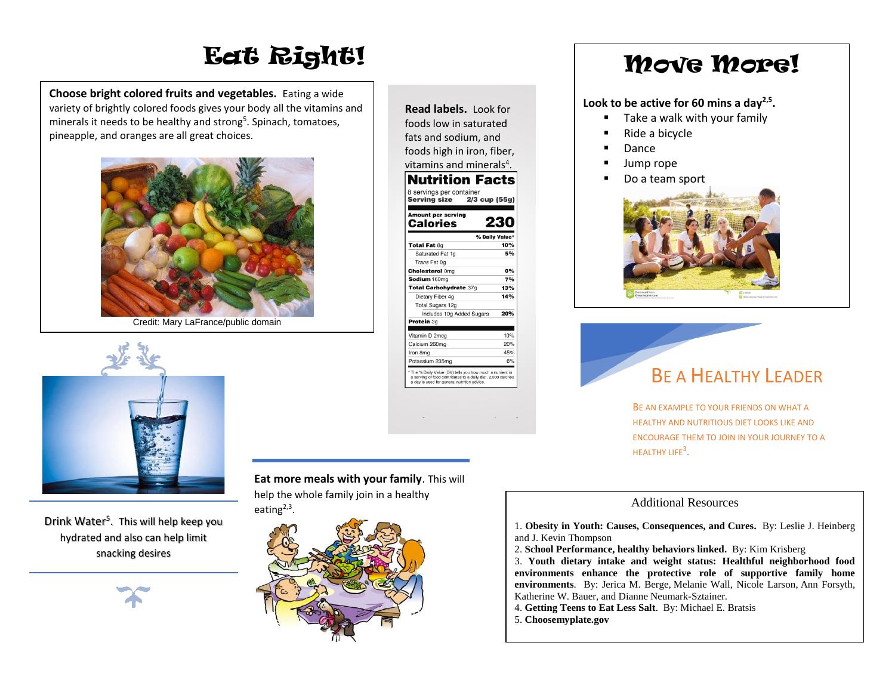# Eat Right!

**Choose bright colored fruits and vegetables.** Eating a wide variety of brightly colored foods gives your body all the vitamins and minerals it needs to be healthy and strong<sup>5</sup>. Spinach, tomatoes, pineapple, and oranges are all great choices.



Credit: Mary LaFrance/public domain



Drink Water<sup>5</sup>. This will help keep you hydrated and also can help limit snacking desires



### **Eat more meals with your family**. This will

help the whole family join in a healthy eating<sup>2,3</sup>.



| Read labels. Look for                                                                                                                                                     |     |
|---------------------------------------------------------------------------------------------------------------------------------------------------------------------------|-----|
| foods low in saturated                                                                                                                                                    |     |
| fats and sodium, and                                                                                                                                                      |     |
|                                                                                                                                                                           |     |
| foods high in iron, fiber,                                                                                                                                                |     |
| vitamins and minerals <sup>4</sup> .                                                                                                                                      |     |
| <b>Nutrition Facts</b>                                                                                                                                                    |     |
| 8 servings per container                                                                                                                                                  |     |
| Serving size 2/3 cup (55g)                                                                                                                                                |     |
| Amount per serving                                                                                                                                                        |     |
| Calories                                                                                                                                                                  | en  |
| % Daily Value*                                                                                                                                                            |     |
| Total Fat 8g                                                                                                                                                              | 10% |
| Saturated Fat 1q                                                                                                                                                          | 5%  |
| Trans Fat 0g                                                                                                                                                              |     |
| <b>Cholesterol Omg</b>                                                                                                                                                    | 0%  |
| Sodium 160mg                                                                                                                                                              | 7%  |
| Total Carbohydrate 37g                                                                                                                                                    | 13% |
| Dietary Fiber 4g                                                                                                                                                          | 14% |
| Total Sugars 12g                                                                                                                                                          |     |
| Includes 10g Added Sugars                                                                                                                                                 | 20% |
| Protein 3q                                                                                                                                                                |     |
| Vitamin D 2mcg                                                                                                                                                            | 10% |
| Calcium 260mg                                                                                                                                                             | 20% |
| Iron 8mg                                                                                                                                                                  | 45% |
| Potassium 235mg                                                                                                                                                           | 6%  |
| ' The % Daily Value (DV) tells you how much a nutrient in<br>a serving of food contributes to a daily diet. 2,000 calories<br>a day is used for general nutrition advice. |     |

## Move More!

#### **Look to be active for 60 mins a day2,5 .**

- Take a walk with your family
- Ride a bicycle
- Dance
- Jump rope
- Do a team sport





BE AN EXAMPLE TO YOUR FRIENDS ON WHAT A HEALTHY AND NUTRITIOUS DIET LOOKS LIKE AND ENCOURAGE THEM TO JOIN IN YOUR JOURNEY TO A HEALTHY LIFE<sup>3</sup>.

#### Additional Resources

1. **Obesity in Youth: Causes, Consequences, and Cures.** By: Leslie J. Heinberg and J. Kevin Thompson

- 2. **School Performance, healthy behaviors linked.** By: Kim Krisberg
- 3. **Youth dietary intake and weight status: Healthful neighborhood food environments enhance the protective role of supportive family home environments**. By: Jerica M. Berge, Melanie Wall, Nicole Larson, Ann Forsyth, Katherine W. Bauer, and Dianne Neumark-Sztainer.
- 4. **Getting Teens to Eat Less Salt**. By: Michael E. Bratsis
- 5. **Choosemyplate.gov**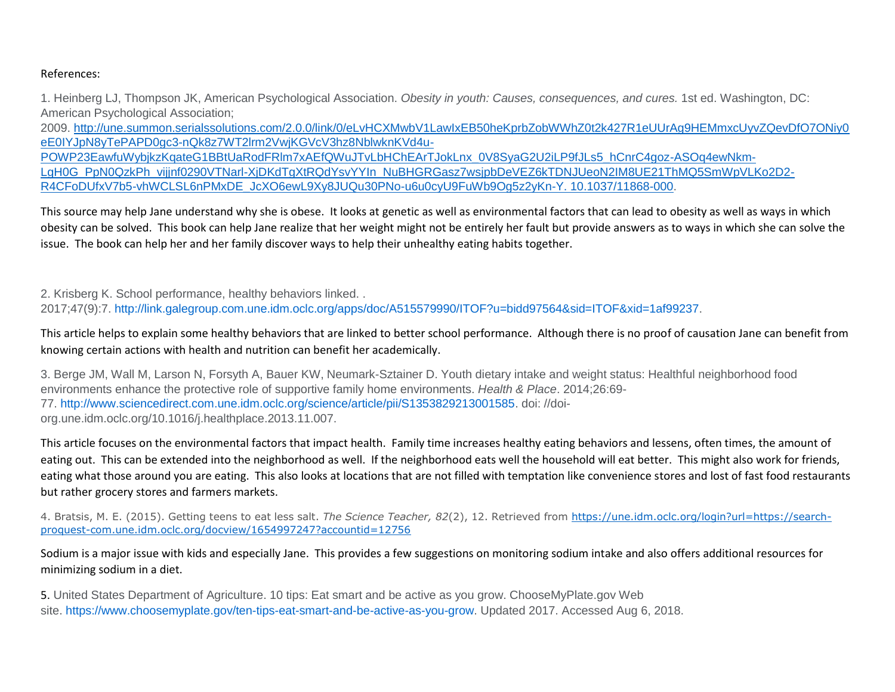#### References:

1. Heinberg LJ, Thompson JK, American Psychological Association. *Obesity in youth: Causes, consequences, and cures.* 1st ed. Washington, DC: American Psychological Association;

2009. [http://une.summon.serialssolutions.com/2.0.0/link/0/eLvHCXMwbV1LawIxEB50heKprbZobWWhZ0t2k427R1eUUrAg9HEMmxcUyvZQevDfO7ONiy0](http://une.summon.serialssolutions.com/2.0.0/link/0/eLvHCXMwbV1LawIxEB50heKprbZobWWhZ0t2k427R1eUUrAg9HEMmxcUyvZQevDfO7ONiy0eE0IYJpN8yTePAPD0gc3-nQk8z7WT2lrm2VwjKGVcV3hz8NblwknKVd4u-POWP23EawfuWybjkzKqateG1BBtUaRodFRlm7xAEfQWuJTvLbHChEArTJokLnx_0V8SyaG2U2iLP9fJLs5_hCnrC4goz-ASOq4ewNkm-LgH0G_PpN0QzkPh_vijjnf0290VTNarl-XjDKdTgXtRQdYsvYYIn_NuBHGRGasz7wsjpbDeVEZ6kTDNJUeoN2IM8UE21ThMQ5SmWpVLKo2D2-R4CFoDUfxV7b5-vhWCLSL6nPMxDE_JcXO6ewL9Xy8JUQu30PNo-u6u0cyU9FuWb9Og5z2yKn-Y.%2010.1037/11868-000) [eE0IYJpN8yTePAPD0gc3-nQk8z7WT2lrm2VwjKGVcV3hz8NblwknKVd4u-](http://une.summon.serialssolutions.com/2.0.0/link/0/eLvHCXMwbV1LawIxEB50heKprbZobWWhZ0t2k427R1eUUrAg9HEMmxcUyvZQevDfO7ONiy0eE0IYJpN8yTePAPD0gc3-nQk8z7WT2lrm2VwjKGVcV3hz8NblwknKVd4u-POWP23EawfuWybjkzKqateG1BBtUaRodFRlm7xAEfQWuJTvLbHChEArTJokLnx_0V8SyaG2U2iLP9fJLs5_hCnrC4goz-ASOq4ewNkm-LgH0G_PpN0QzkPh_vijjnf0290VTNarl-XjDKdTgXtRQdYsvYYIn_NuBHGRGasz7wsjpbDeVEZ6kTDNJUeoN2IM8UE21ThMQ5SmWpVLKo2D2-R4CFoDUfxV7b5-vhWCLSL6nPMxDE_JcXO6ewL9Xy8JUQu30PNo-u6u0cyU9FuWb9Og5z2yKn-Y.%2010.1037/11868-000)POWP23EawfuWybikzKqateG1BBtUaRodFRlm7xAEfQWuJTvLbHChEArTJokLnx\_0V8SyaG2U2iLP9fJLs5\_hCnrC4goz-ASOq4ewNkm-LgH0G\_PpN0QzkPh\_vijinf0290VTNarl-XiDKdTgXtRQdYsvYYIn\_NuBHGRGasz7wsjpbDeVEZ6kTDNJUeoN2IM8UE21ThMQ5SmWpVLKo2D2-[R4CFoDUfxV7b5-vhWCLSL6nPMxDE\\_JcXO6ewL9Xy8JUQu30PNo-u6u0cyU9FuWb9Og5z2yKn-Y. 10.1037/11868-000.](http://une.summon.serialssolutions.com/2.0.0/link/0/eLvHCXMwbV1LawIxEB50heKprbZobWWhZ0t2k427R1eUUrAg9HEMmxcUyvZQevDfO7ONiy0eE0IYJpN8yTePAPD0gc3-nQk8z7WT2lrm2VwjKGVcV3hz8NblwknKVd4u-POWP23EawfuWybjkzKqateG1BBtUaRodFRlm7xAEfQWuJTvLbHChEArTJokLnx_0V8SyaG2U2iLP9fJLs5_hCnrC4goz-ASOq4ewNkm-LgH0G_PpN0QzkPh_vijjnf0290VTNarl-XjDKdTgXtRQdYsvYYIn_NuBHGRGasz7wsjpbDeVEZ6kTDNJUeoN2IM8UE21ThMQ5SmWpVLKo2D2-R4CFoDUfxV7b5-vhWCLSL6nPMxDE_JcXO6ewL9Xy8JUQu30PNo-u6u0cyU9FuWb9Og5z2yKn-Y.%2010.1037/11868-000)

This source may help Jane understand why she is obese. It looks at genetic as well as environmental factors that can lead to obesity as well as ways in which obesity can be solved. This book can help Jane realize that her weight might not be entirely her fault but provide answers as to ways in which she can solve the issue. The book can help her and her family discover ways to help their unhealthy eating habits together.

2. Krisberg K. School performance, healthy behaviors linked. . 2017;47(9):7. [http://link.galegroup.com.une.idm.oclc.org/apps/doc/A515579990/ITOF?u=bidd97564&sid=ITOF&xid=1af99237.](http://link.galegroup.com.une.idm.oclc.org/apps/doc/A515579990/ITOF?u=bidd97564&sid=ITOF&xid=1af99237)

#### This article helps to explain some healthy behaviors that are linked to better school performance. Although there is no proof of causation Jane can benefit from knowing certain actions with health and nutrition can benefit her academically.

3. Berge JM, Wall M, Larson N, Forsyth A, Bauer KW, Neumark-Sztainer D. Youth dietary intake and weight status: Healthful neighborhood food environments enhance the protective role of supportive family home environments. *Health & Place*. 2014;26:69- 77. [http://www.sciencedirect.com.une.idm.oclc.org/science/article/pii/S1353829213001585.](http://www.sciencedirect.com.une.idm.oclc.org/science/article/pii/S1353829213001585) doi: //doiorg.une.idm.oclc.org/10.1016/j.healthplace.2013.11.007.

This article focuses on the environmental factors that impact health. Family time increases healthy eating behaviors and lessens, often times, the amount of eating out. This can be extended into the neighborhood as well. If the neighborhood eats well the household will eat better. This might also work for friends, eating what those around you are eating. This also looks at locations that are not filled with temptation like convenience stores and lost of fast food restaurants but rather grocery stores and farmers markets.

4. Bratsis, M. E. (2015). Getting teens to eat less salt. *The Science Teacher, 82*(2), 12. Retrieved from [https://une.idm.oclc.org/login?url=https://search](https://une.idm.oclc.org/login?url=https://search-proquest-com.une.idm.oclc.org/docview/1654997247?accountid=12756)[proquest-com.une.idm.oclc.org/docview/1654997247?accountid=12756](https://une.idm.oclc.org/login?url=https://search-proquest-com.une.idm.oclc.org/docview/1654997247?accountid=12756)

Sodium is a major issue with kids and especially Jane. This provides a few suggestions on monitoring sodium intake and also offers additional resources for minimizing sodium in a diet.

5. United States Department of Agriculture. 10 tips: Eat smart and be active as you grow. ChooseMyPlate.gov Web site. [https://www.choosemyplate.gov/ten-tips-eat-smart-and-be-active-as-you-grow.](https://www.choosemyplate.gov/ten-tips-eat-smart-and-be-active-as-you-grow) Updated 2017. Accessed Aug 6, 2018.